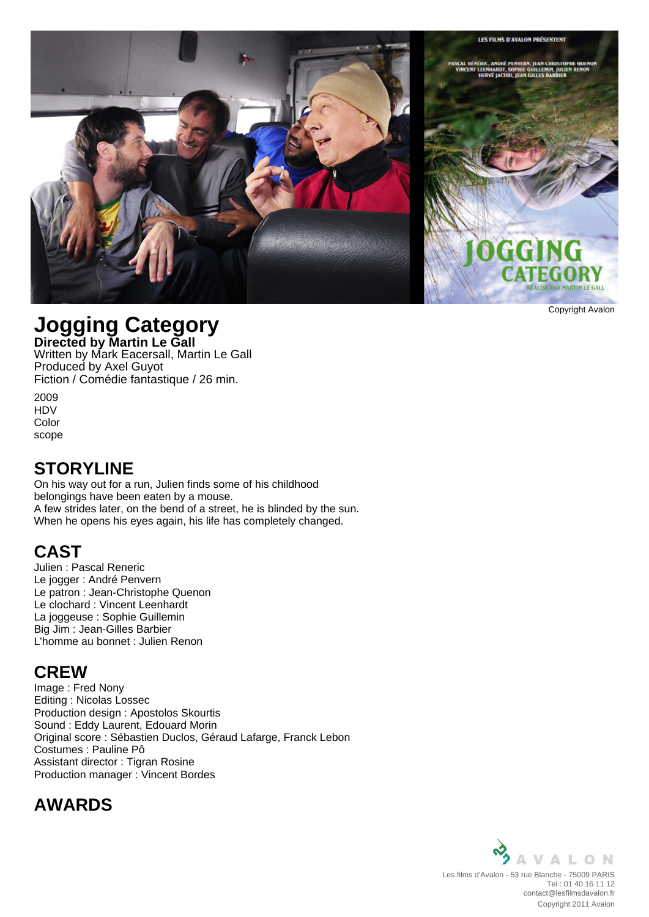

Copyright Avalon

# **Jogging Category**

**Directed by Martin Le Gall** Written by Mark Eacersall, Martin Le Gall Produced by Axel Guyot Fiction / Comédie fantastique / 26 min.

2009 HDV Color scope

#### **STORYLINE**

On his way out for a run, Julien finds some of his childhood belongings have been eaten by a mouse. A few strides later, on the bend of a street, he is blinded by the sun. When he opens his eyes again, his life has completely changed.

### **CAST**

Julien : Pascal Reneric Le jogger : André Penvern Le patron : Jean-Christophe Quenon Le clochard : Vincent Leenhardt La joggeuse : Sophie Guillemin Big Jim : Jean-Gilles Barbier L'homme au bonnet : Julien Renon

#### **CREW**

Image : Fred Nony Editing : Nicolas Lossec Production design : Apostolos Skourtis Sound : Eddy Laurent, Edouard Morin Original score : Sébastien Duclos, Géraud Lafarge, Franck Lebon Costumes : Pauline Pô Assistant director : Tigran Rosine Production manager : Vincent Bordes

# **AWARDS**